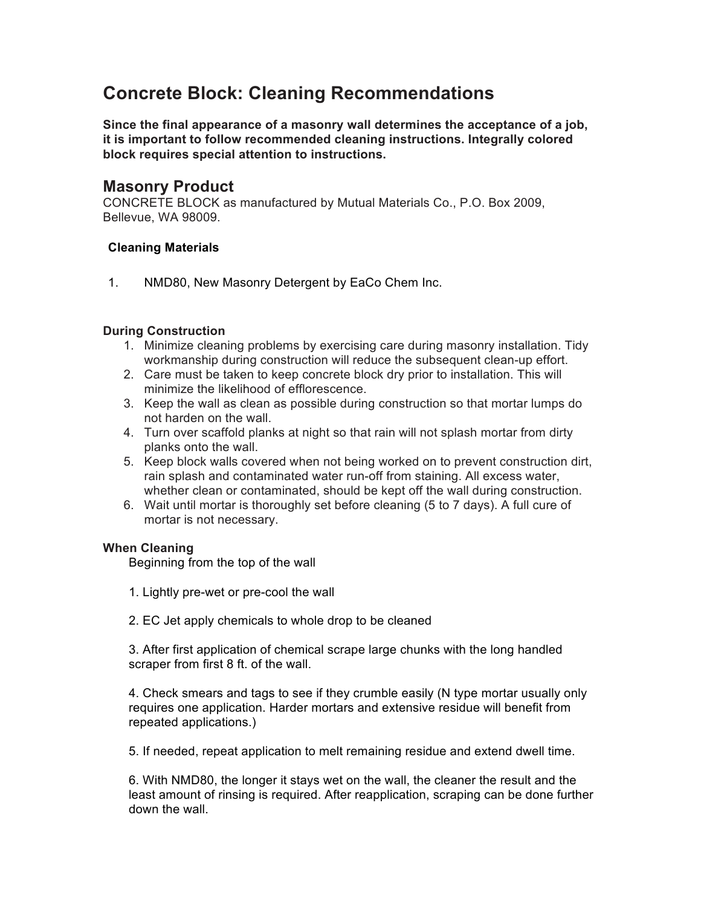# **Concrete Block: Cleaning Recommendations**

**Since the final appearance of a masonry wall determines the acceptance of a job, it is important to follow recommended cleaning instructions. Integrally colored block requires special attention to instructions.**

## **Masonry Product**

CONCRETE BLOCK as manufactured by Mutual Materials Co., P.O. Box 2009, Bellevue, WA 98009.

### **Cleaning Materials**

1. NMD80, New Masonry Detergent by EaCo Chem Inc.

### **During Construction**

- 1. Minimize cleaning problems by exercising care during masonry installation. Tidy workmanship during construction will reduce the subsequent clean-up effort.
- 2. Care must be taken to keep concrete block dry prior to installation. This will minimize the likelihood of efflorescence.
- 3. Keep the wall as clean as possible during construction so that mortar lumps do not harden on the wall.
- 4. Turn over scaffold planks at night so that rain will not splash mortar from dirty planks onto the wall.
- 5. Keep block walls covered when not being worked on to prevent construction dirt, rain splash and contaminated water run-off from staining. All excess water, whether clean or contaminated, should be kept off the wall during construction.
- 6. Wait until mortar is thoroughly set before cleaning (5 to 7 days). A full cure of mortar is not necessary.

### **When Cleaning**

Beginning from the top of the wall

- 1. Lightly pre-wet or pre-cool the wall
- 2. EC Jet apply chemicals to whole drop to be cleaned

3. After first application of chemical scrape large chunks with the long handled scraper from first 8 ft. of the wall.

4. Check smears and tags to see if they crumble easily (N type mortar usually only requires one application. Harder mortars and extensive residue will benefit from repeated applications.)

5. If needed, repeat application to melt remaining residue and extend dwell time.

6. With NMD80, the longer it stays wet on the wall, the cleaner the result and the least amount of rinsing is required. After reapplication, scraping can be done further down the wall.